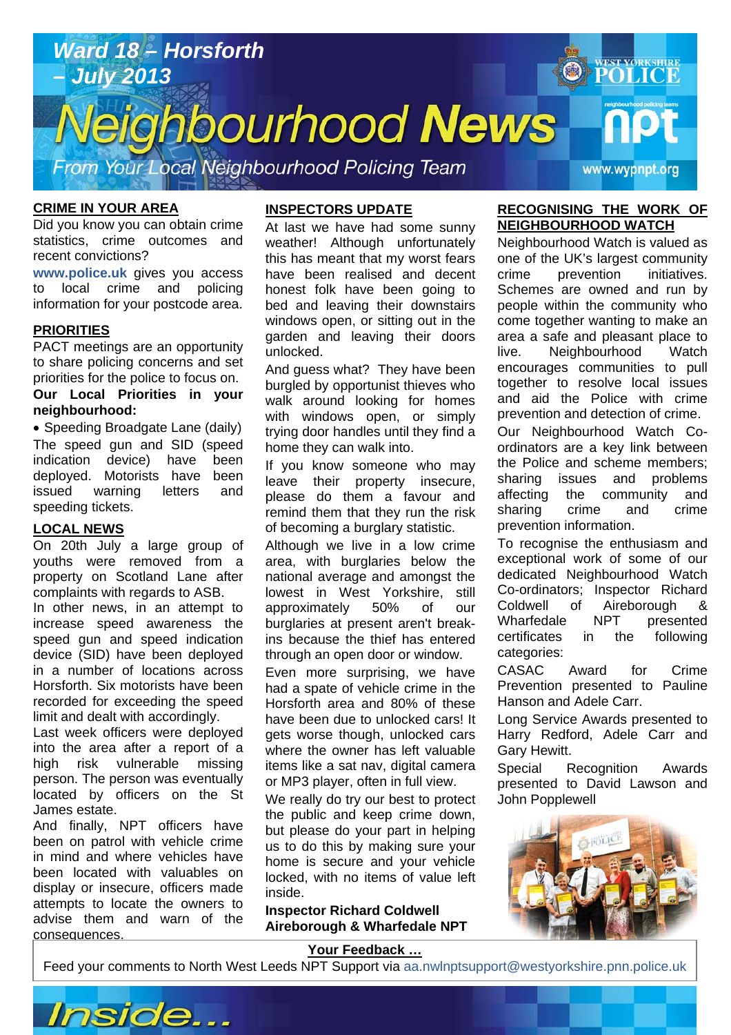

#### **CRIME IN YOUR AREA**

Did you know you can obtain crime statistics, crime outcomes and recent convictions?

**www.police.uk** gives you access to local crime and policing information for your postcode area.

#### **PRIORITIES**

PACT meetings are an opportunity to share policing concerns and set priorities for the police to focus on. **Our Local Priorities in your neighbourhood:** 

• Speeding Broadgate Lane (daily) The speed gun and SID (speed indication device) have been deployed. Motorists have been issued warning letters and speeding tickets.

#### **LOCAL NEWS**

On 20th July a large group of youths were removed from a property on Scotland Lane after complaints with regards to ASB.

In other news, in an attempt to increase speed awareness the speed gun and speed indication device (SID) have been deployed in a number of locations across Horsforth. Six motorists have been recorded for exceeding the speed limit and dealt with accordingly.

Last week officers were deployed into the area after a report of a high risk vulnerable missing person. The person was eventually located by officers on the St James estate.

And finally, NPT officers have been on patrol with vehicle crime in mind and where vehicles have been located with valuables on display or insecure, officers made attempts to locate the owners to advise them and warn of the consequences.

#### **INSPECTORS UPDATE**

At last we have had some sunny weather! Although unfortunately this has meant that my worst fears have been realised and decent honest folk have been going to bed and leaving their downstairs windows open, or sitting out in the garden and leaving their doors unlocked.

And guess what? They have been burgled by opportunist thieves who walk around looking for homes with windows open, or simply trying door handles until they find a home they can walk into.

If you know someone who may leave their property insecure, please do them a favour and remind them that they run the risk of becoming a burglary statistic.

Although we live in a low crime area, with burglaries below the national average and amongst the lowest in West Yorkshire, still approximately 50% of our burglaries at present aren't breakins because the thief has entered through an open door or window.

Even more surprising, we have had a spate of vehicle crime in the Horsforth area and 80% of these have been due to unlocked cars! It gets worse though, unlocked cars where the owner has left valuable items like a sat nav, digital camera or MP3 player, often in full view.

We really do try our best to protect the public and keep crime down, but please do your part in helping us to do this by making sure your home is secure and your vehicle locked, with no items of value left inside.

**Inspector Richard Coldwell Aireborough & Wharfedale NPT** 

#### **RECOGNISING THE WORK OF NEIGHBOURHOOD WATCH**

Neighbourhood Watch is valued as one of the UK's largest community crime prevention initiatives. Schemes are owned and run by people within the community who come together wanting to make an area a safe and pleasant place to live. Neighbourhood Watch encourages communities to pull together to resolve local issues and aid the Police with crime prevention and detection of crime.

Our Neighbourhood Watch Coordinators are a key link between the Police and scheme members; sharing issues and problems affecting the community and sharing crime and crime prevention information.

To recognise the enthusiasm and exceptional work of some of our dedicated Neighbourhood Watch Co-ordinators; Inspector Richard Coldwell of Aireborough & Wharfedale NPT presented certificates in the following categories:

CASAC Award for Crime Prevention presented to Pauline Hanson and Adele Carr.

Long Service Awards presented to Harry Redford, Adele Carr and Gary Hewitt.

Special Recognition Awards presented to David Lawson and John Popplewell



**Article about? Pg 3 Article about? Pg 4** 

#### **Your Feedback …**

Feed your comments to North West Leeds NPT Support via aa.nwlnptsupport@westyorkshire.pnn.police.uk